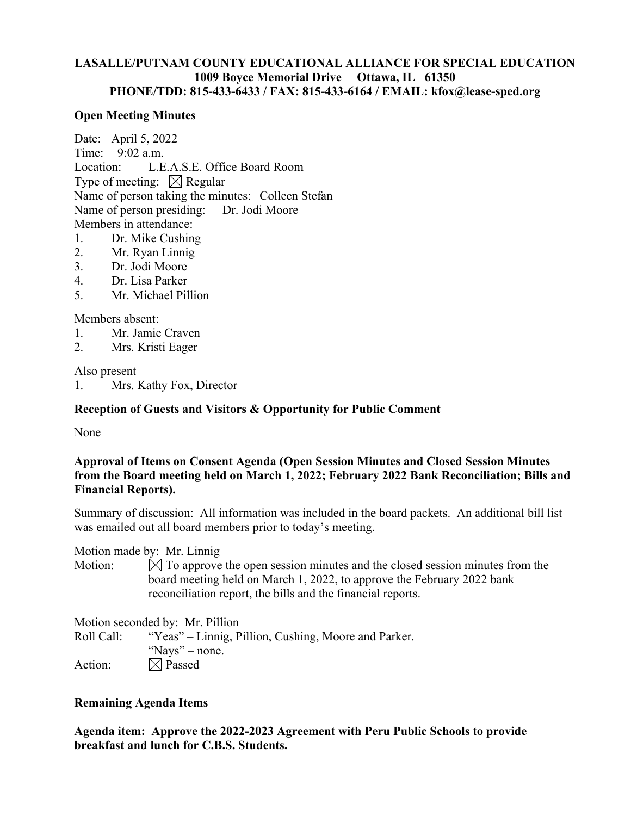# **LASALLE/PUTNAM COUNTY EDUCATIONAL ALLIANCE FOR SPECIAL EDUCATION 1009 Boyce Memorial Drive Ottawa, IL 61350 PHONE/TDD: 815-433-6433 / FAX: 815-433-6164 / EMAIL: kfox@lease-sped.org**

### **Open Meeting Minutes**

Date: April 5, 2022 Time: 9:02 a.m. Location: L.E.A.S.E. Office Board Room Type of meeting:  $\boxtimes$  Regular Name of person taking the minutes: Colleen Stefan Name of person presiding: Dr. Jodi Moore Members in attendance:

- 1. Dr. Mike Cushing
- 2. Mr. Ryan Linnig
- 3. Dr. Jodi Moore
- 4. Dr. Lisa Parker
- 5. Mr. Michael Pillion

### Members absent:

- 1. Mr. Jamie Craven
- 2. Mrs. Kristi Eager

### Also present

1. Mrs. Kathy Fox, Director

# **Reception of Guests and Visitors & Opportunity for Public Comment**

None

# **Approval of Items on Consent Agenda (Open Session Minutes and Closed Session Minutes from the Board meeting held on March 1, 2022; February 2022 Bank Reconciliation; Bills and Financial Reports).**

Summary of discussion: All information was included in the board packets. An additional bill list was emailed out all board members prior to today's meeting.

Motion made by: Mr. Linnig

Motion:  $\mathbb N$  To approve the open session minutes and the closed session minutes from the board meeting held on March 1, 2022, to approve the February 2022 bank reconciliation report, the bills and the financial reports.

|            | Motion seconded by: Mr. Pillion                      |
|------------|------------------------------------------------------|
| Roll Call: | "Yeas" – Linnig, Pillion, Cushing, Moore and Parker. |
|            | "Nays" – none.                                       |
| Action:    | $\boxtimes$ Passed                                   |

### **Remaining Agenda Items**

**Agenda item: Approve the 2022-2023 Agreement with Peru Public Schools to provide breakfast and lunch for C.B.S. Students.**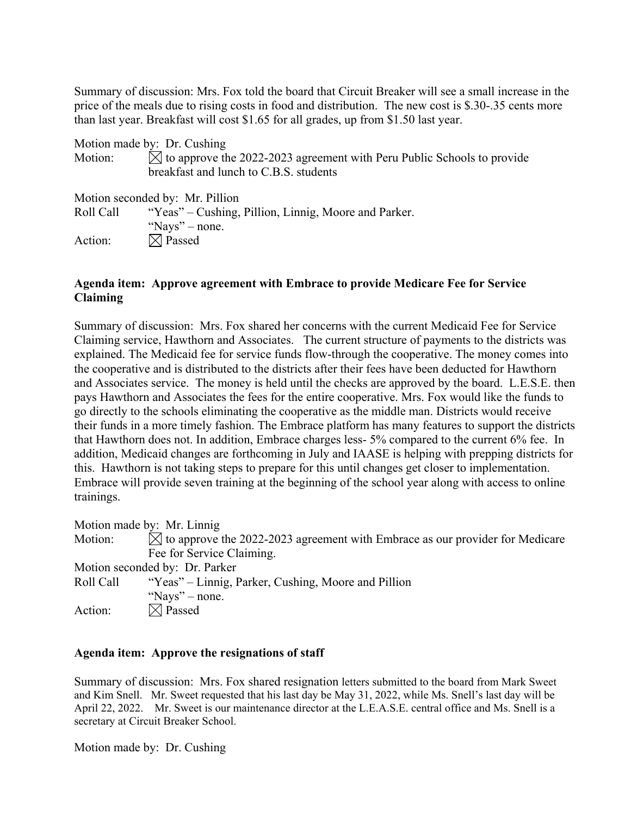Summary of discussion: Mrs. Fox told the board that Circuit Breaker will see a small increase in the price of the meals due to rising costs in food and distribution. The new cost is \$.30-.35 cents more than last year. Breakfast will cost \$1.65 for all grades, up from \$1.50 last year.

|                                                        | Motion made by: Dr. Cushing                                                        |
|--------------------------------------------------------|------------------------------------------------------------------------------------|
| Motion:                                                | $\boxtimes$ to approve the 2022-2023 agreement with Peru Public Schools to provide |
|                                                        | breakfast and lunch to C.B.S. students                                             |
|                                                        | Motion seconded by: Mr. Pillion                                                    |
| Roll Call                                              | "Yeas" – Cushing, Pillion, Linnig, Moore and Parker.                               |
|                                                        | "Nays" – none.                                                                     |
| $\mathbf{A}$ and $\mathbf{A}$ is a set of $\mathbf{A}$ | $\nabla$ $\Lambda$ $\mathbf{D}$                                                    |

Action:  $|\times|$  Passed

## **Agenda item: Approve agreement with Embrace to provide Medicare Fee for Service Claiming**

Summary of discussion: Mrs. Fox shared her concerns with the current Medicaid Fee for Service Claiming service, Hawthorn and Associates. The current structure of payments to the districts was explained. The Medicaid fee for service funds flow-through the cooperative. The money comes into the cooperative and is distributed to the districts after their fees have been deducted for Hawthorn and Associates service. The money is held until the checks are approved by the board. L.E.S.E. then pays Hawthorn and Associates the fees for the entire cooperative. Mrs. Fox would like the funds to go directly to the schools eliminating the cooperative as the middle man. Districts would receive their funds in a more timely fashion. The Embrace platform has many features to support the districts that Hawthorn does not. In addition, Embrace charges less- 5% compared to the current 6% fee. In addition, Medicaid changes are forthcoming in July and IAASE is helping with prepping districts for this. Hawthorn is not taking steps to prepare for this until changes get closer to implementation. Embrace will provide seven training at the beginning of the school year along with access to online trainings.

Motion made by: Mr. Linnig Motion:  $\boxtimes$  to approve the 2022-2023 agreement with Embrace as our provider for Medicare Fee for Service Claiming. Motion seconded by: Dr. Parker Roll Call "Yeas" – Linnig, Parker, Cushing, Moore and Pillion "Nays" – none. Action:  $\boxtimes$  Passed

### **Agenda item: Approve the resignations of staff**

Summary of discussion: Mrs. Fox shared resignation letters submitted to the board from Mark Sweet and Kim Snell. Mr. Sweet requested that his last day be May 31, 2022, while Ms. Snell's last day will be April 22, 2022. Mr. Sweet is our maintenance director at the L.E.A.S.E. central office and Ms. Snell is a secretary at Circuit Breaker School.

Motion made by: Dr. Cushing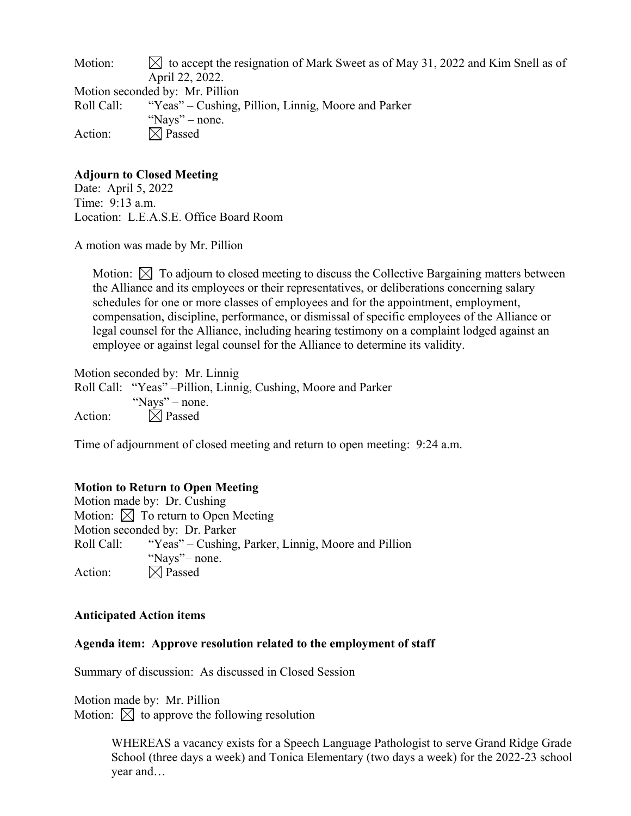| Motion:    | $\bowtie$ to accept the resignation of Mark Sweet as of May 31, 2022 and Kim Snell as of |
|------------|------------------------------------------------------------------------------------------|
|            | April 22, 2022.                                                                          |
|            | Motion seconded by: Mr. Pillion                                                          |
| Roll Call: | "Yeas" – Cushing, Pillion, Linnig, Moore and Parker                                      |
|            | "Nays" – none.                                                                           |
| Action:    | $\boxtimes$ Passed                                                                       |

## **Adjourn to Closed Meeting**

Date: April 5, 2022 Time: 9:13 a.m. Location: L.E.A.S.E. Office Board Room

A motion was made by Mr. Pillion

Motion:  $\bowtie$  To adjourn to closed meeting to discuss the Collective Bargaining matters between the Alliance and its employees or their representatives, or deliberations concerning salary schedules for one or more classes of employees and for the appointment, employment, compensation, discipline, performance, or dismissal of specific employees of the Alliance or legal counsel for the Alliance, including hearing testimony on a complaint lodged against an employee or against legal counsel for the Alliance to determine its validity.

Motion seconded by: Mr. Linnig Roll Call: "Yeas" –Pillion, Linnig, Cushing, Moore and Parker "Nays" – none. Action:  $\boxtimes$  Passed

Time of adjournment of closed meeting and return to open meeting: 9:24 a.m.

# **Motion to Return to Open Meeting**

Motion made by: Dr. Cushing Motion:  $\boxtimes$  To return to Open Meeting Motion seconded by: Dr. Parker Roll Call: "Yeas" – Cushing, Parker, Linnig, Moore and Pillion "Nays" – none. Action:  $\boxtimes$  Passed

### **Anticipated Action items**

### **Agenda item: Approve resolution related to the employment of staff**

Summary of discussion: As discussed in Closed Session

Motion made by: Mr. Pillion Motion:  $\boxtimes$  to approve the following resolution

> WHEREAS a vacancy exists for a Speech Language Pathologist to serve Grand Ridge Grade School (three days a week) and Tonica Elementary (two days a week) for the 2022-23 school year and…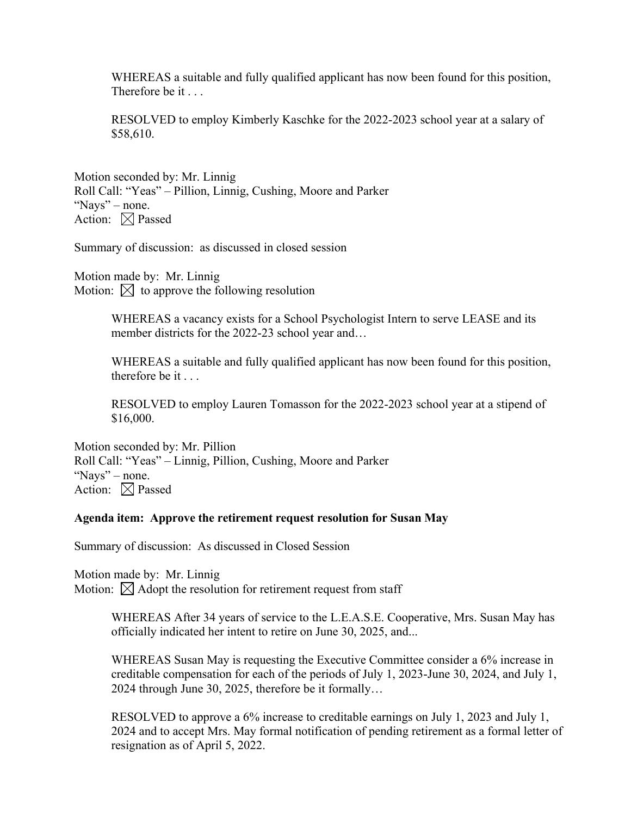WHEREAS a suitable and fully qualified applicant has now been found for this position, Therefore be it . . .

RESOLVED to employ Kimberly Kaschke for the 2022-2023 school year at a salary of \$58,610.

Motion seconded by: Mr. Linnig Roll Call: "Yeas" – Pillion, Linnig, Cushing, Moore and Parker "Nays" – none. Action:  $\boxtimes$  Passed

Summary of discussion: as discussed in closed session

Motion made by: Mr. Linnig Motion:  $\boxtimes$  to approve the following resolution

> WHEREAS a vacancy exists for a School Psychologist Intern to serve LEASE and its member districts for the 2022-23 school year and…

WHEREAS a suitable and fully qualified applicant has now been found for this position, therefore be it . . .

RESOLVED to employ Lauren Tomasson for the 2022-2023 school year at a stipend of \$16,000.

Motion seconded by: Mr. Pillion Roll Call: "Yeas" – Linnig, Pillion, Cushing, Moore and Parker "Nays" – none. Action:  $\boxtimes$  Passed

#### **Agenda item: Approve the retirement request resolution for Susan May**

Summary of discussion: As discussed in Closed Session

Motion made by: Mr. Linnig Motion:  $\boxtimes$  Adopt the resolution for retirement request from staff

> WHEREAS After 34 years of service to the L.E.A.S.E. Cooperative, Mrs. Susan May has officially indicated her intent to retire on June 30, 2025, and...

> WHEREAS Susan May is requesting the Executive Committee consider a 6% increase in creditable compensation for each of the periods of July 1, 2023-June 30, 2024, and July 1, 2024 through June 30, 2025, therefore be it formally…

RESOLVED to approve a 6% increase to creditable earnings on July 1, 2023 and July 1, 2024 and to accept Mrs. May formal notification of pending retirement as a formal letter of resignation as of April 5, 2022.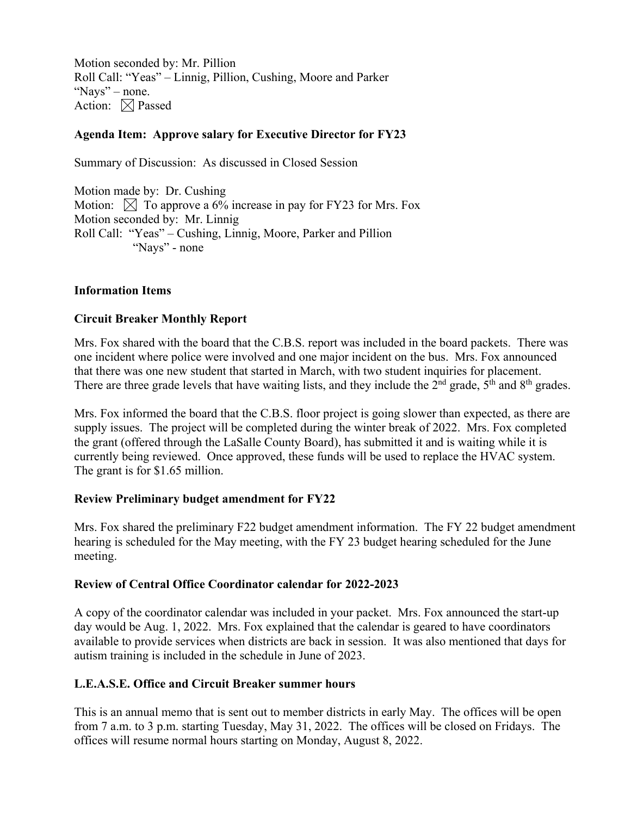Motion seconded by: Mr. Pillion Roll Call: "Yeas" – Linnig, Pillion, Cushing, Moore and Parker "Nays" – none. Action:  $\boxtimes$  Passed

## **Agenda Item: Approve salary for Executive Director for FY23**

Summary of Discussion: As discussed in Closed Session

Motion made by: Dr. Cushing Motion:  $\boxtimes$  To approve a 6% increase in pay for FY23 for Mrs. Fox Motion seconded by: Mr. Linnig Roll Call: "Yeas" – Cushing, Linnig, Moore, Parker and Pillion "Nays" - none

### **Information Items**

### **Circuit Breaker Monthly Report**

Mrs. Fox shared with the board that the C.B.S. report was included in the board packets. There was one incident where police were involved and one major incident on the bus. Mrs. Fox announced that there was one new student that started in March, with two student inquiries for placement. There are three grade levels that have waiting lists, and they include the  $2<sup>nd</sup>$  grade,  $5<sup>th</sup>$  and  $8<sup>th</sup>$  grades.

Mrs. Fox informed the board that the C.B.S. floor project is going slower than expected, as there are supply issues. The project will be completed during the winter break of 2022. Mrs. Fox completed the grant (offered through the LaSalle County Board), has submitted it and is waiting while it is currently being reviewed. Once approved, these funds will be used to replace the HVAC system. The grant is for \$1.65 million.

#### **Review Preliminary budget amendment for FY22**

Mrs. Fox shared the preliminary F22 budget amendment information. The FY 22 budget amendment hearing is scheduled for the May meeting, with the FY 23 budget hearing scheduled for the June meeting.

#### **Review of Central Office Coordinator calendar for 2022-2023**

A copy of the coordinator calendar was included in your packet. Mrs. Fox announced the start-up day would be Aug. 1, 2022. Mrs. Fox explained that the calendar is geared to have coordinators available to provide services when districts are back in session. It was also mentioned that days for autism training is included in the schedule in June of 2023.

### **L.E.A.S.E. Office and Circuit Breaker summer hours**

This is an annual memo that is sent out to member districts in early May. The offices will be open from 7 a.m. to 3 p.m. starting Tuesday, May 31, 2022. The offices will be closed on Fridays. The offices will resume normal hours starting on Monday, August 8, 2022.